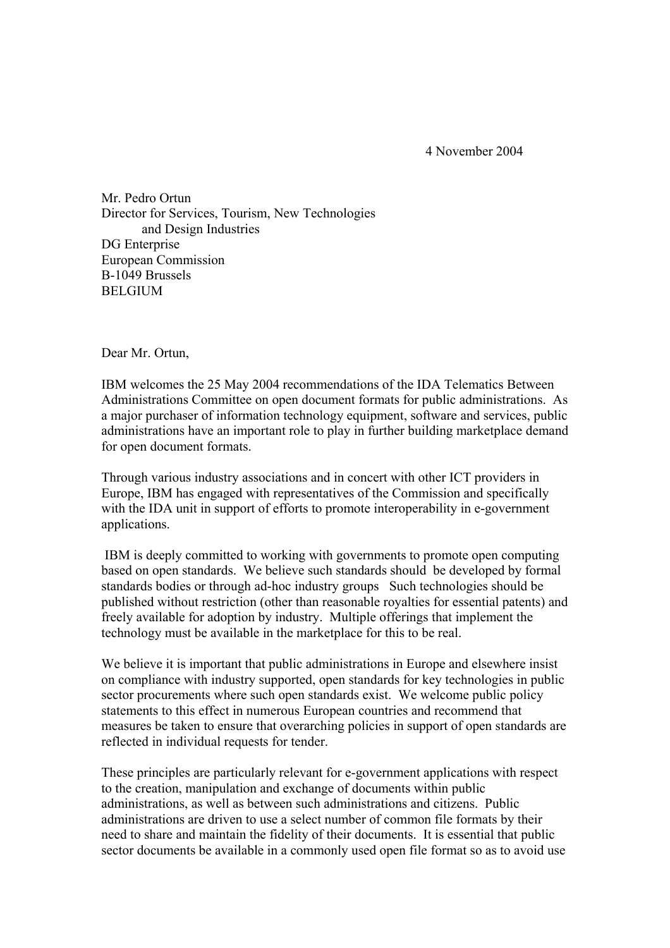4 November 2004

Mr. Pedro Ortun Director for Services, Tourism, New Technologies and Design Industries DG Enterprise European Commission B-1049 Brussels BELGIUM

Dear Mr. Ortun,

IBM welcomes the 25 May 2004 recommendations of the IDA Telematics Between Administrations Committee on open document formats for public administrations. As a major purchaser of information technology equipment, software and services, public administrations have an important role to play in further building marketplace demand for open document formats.

Through various industry associations and in concert with other ICT providers in Europe, IBM has engaged with representatives of the Commission and specifically with the IDA unit in support of efforts to promote interoperability in e-government applications.

 IBM is deeply committed to working with governments to promote open computing based on open standards. We believe such standards should be developed by formal standards bodies or through ad-hoc industry groups Such technologies should be published without restriction (other than reasonable royalties for essential patents) and freely available for adoption by industry. Multiple offerings that implement the technology must be available in the marketplace for this to be real.

We believe it is important that public administrations in Europe and elsewhere insist on compliance with industry supported, open standards for key technologies in public sector procurements where such open standards exist. We welcome public policy statements to this effect in numerous European countries and recommend that measures be taken to ensure that overarching policies in support of open standards are reflected in individual requests for tender.

These principles are particularly relevant for e-government applications with respect to the creation, manipulation and exchange of documents within public administrations, as well as between such administrations and citizens. Public administrations are driven to use a select number of common file formats by their need to share and maintain the fidelity of their documents. It is essential that public sector documents be available in a commonly used open file format so as to avoid use